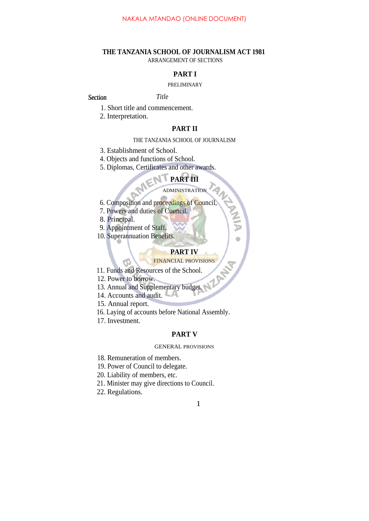### **THE TANZANIA SCHOOL OF JOURNALISM ACT 1981** ARRANGEMENT OF SECTIONS

# **PART I**

#### PRELIMINARY

#### *Section Title* Section

- 1. Short title and commencement.
- 2. Interpretation.

## **PART II**

#### THE TANZANIA SCHOOL OF JOURNALISM

- 3. Establishment of School.
- 4. Objects and functions of School.
- 5. Diplomas, Certificates and other awards.

# **PART III**

#### ADMINISTRATION

**ANALY** 

 $\bullet$ 

- 6. Composition and proceedings of Council,
- 7. Powers and duties of Council.
- 8. Principal.
- 9. Appointment of Staff.
- 10. Superannuation Benefits.

# **PART IV**

# FINANCIAL PROVISIONS

- 11. Funds and Resources of the School.
- 12. Power to borrow.
- 13. Annual and Supplementary budget.
- 14. Accounts and audit.
- 15. Annual report.
- 16. Laying of accounts before National Assembly.
- 17. Investment.

#### **PART V**

#### GENERAL PROVISIONS

- 18. Remuneration of members.
- 19. Power of Council to delegate.
- 20. Liability of members, etc.
- 21. Minister may give directions to Council.
- 22. Regulations.

### 1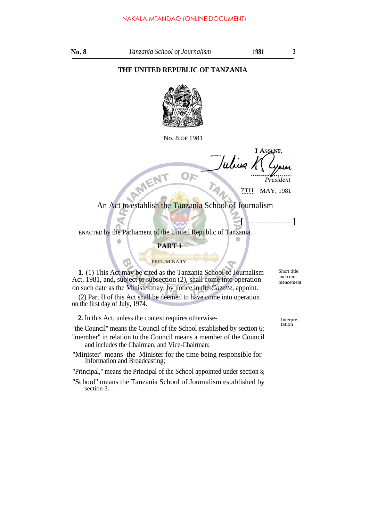# **THE UNITED REPUBLIC OF TANZANIA**



No. 8 OF 1981

OF *President*

7TH MAY, 1981

 $[$ 

An Act to establish the Tanzania School of Journalism

ENACTED by the Parliament of the United Republic of Tanzania.

RMENT

### **PART I**

## PRELIMINARY

**1.**-(1) This Act may be cited as the Tanzania School of Journalism Act, 1981, and, subject to subsection (2), shall come into operation on such date as the Minister may, by notice in the *Gazette,* appoint.

(2) Part II of this Act shall be deemed to have come into operation on the first day of July, 1974.

**2.** In this Act, unless the context requires otherwise-

''the Council'' means the Council of the School established by section 6; ''member'' in relation to the Council means a member of the Council

and includes the Chairman. and Vice-Chairman;

''Minister' means the Minister for the time being responsible for Information and Broadcasting;

''Principal,'' means the Principal of the School appointed under section 8;

''School'' means the Tanzania School of Journalism established by section 3.

Short title and commencement

Interpretation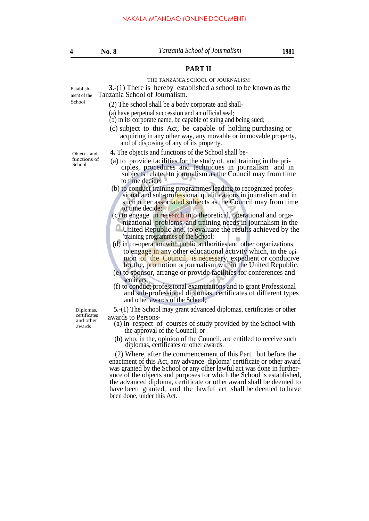#### **PART II**

#### THE TANZANIA SCHOOL OF JOURNALISM

Establish- **3.**-(1) There is hereby established a school to be known as the ment of the Tanzania School of Journalism.

- School (2) The school shall be a body corporate and shall-
	- (a) have perpetual succession and an official seal;
	- (b) m its corporate name, be capable of suing and being sued;
	- (c) subject to this Act, be capable of holding purchasing or acquiring in any other way, any movable or immovable property, and of disposing of any of its property.

- Objects and **4.** The objects and functions of the School shall be-<br>functions of (a) to provide facilities for the study of and train
- ciples, procedures and techniques in journalism and in subjects related to journalism as the Council may from time to time decide; functions of (a) to provide facilities for the study of, and training in the pri-
	- (b) to conduct training programmes leading to recognized professional and sub-professional qualifications in journalism and in such other associated subjects as the Council may from time to time decide;
	- (c) to engage in research into theoretical, operational and orga-
	- nizational problems and training needs in journalism in the United Republic and. to evaluate the results achieved by the 'training programmes of the School;
	- (d) in co-operation with public authorities and other organizations, to engage in any other educational activity which, in the opinion of the Council, is necessary, expedient or conducive for the, promotion or journalism within the United Republic;
	- (e) to sponsor, arrange or provide facilities for conferences and . seminars;
	- (f) to conduct professional examinations and to grant Professional and sub-professional diplomas, certificates of different types and other awards of the School;

Diplomas. **5.**-(1) The School may grant advanced diplomas, certificates or other

- certificates awards to Persons-<br>
and other (a) in respect of courses of study provided by the School with the approval of the Council; or
	- (b) who. in the, opinion of the Council, are entitled to receive such diplomas, certificates or other awards.

(2) Where, after the commencement of this Part but before the enactment of this Act, any advance diploma' certificate or other award was granted by the School or any other lawful act was done in furtherance of the objects and purposes for which the School is established, the advanced diploma, certificate or other award shall be deemed to have been granted, and the lawful act shall be deemed to have been done, under this Act.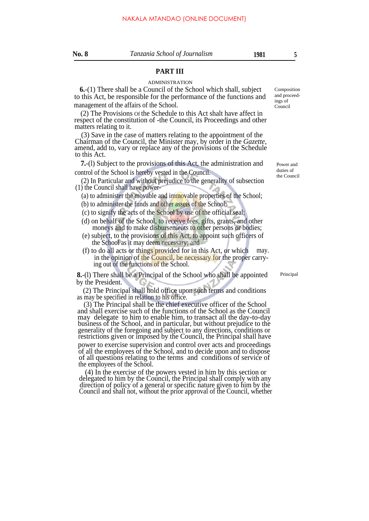#### **PART III**

#### ADMINISTRATION

**6.**-(1) There shall be a Council of the School which shall, subject to this Act, be responsible for the performance of the functions and management of the affairs of the School.

(2) The Provisions Of the Schedule to this Act shalt have affect in respect of the constitution of -the Council, its Proceedings and other matters relating to it.

(3) Save in the case of matters relating to the appointment of the Chairman of the Council, the Minister may, by order in the *Gazette,* amend, add to, vary or replace any of the provisions of the Schedule to this Act.

**7.**-(l) Subject to the provisions of this Act, the administration and control of the School is hereby vested in the Council.

(2) In Particular and without prejudice to the generality of subsection (1) the Council shall have power-

- (a) to administer the movable and immovable properties of the School;
- (b) to administer the funds and other assets of the School;
- (c) to signify the acts of the School by use of the official seal;
- (d) on behalf of the School, to receive fees, gifts, grants, and other moneys and to make disbursements to other persons or bodies;
- (e) subject, to the provisions of this Act, to appoint such officers of the School as it may deem necessary; and
- (f) to do all acts or things provided for in this Act, or which may. in the opinion of the Council, be necessary for the proper carrying out of the functions of the School.

**8.**-(l) There shall be a Principal of the School who shall be appointed by the President.

(2) The Principal shall hold office upon such terms and conditions as may be specified in relation to his office.

(3) The Principal shall be the chief executive officer of the School and shall exercise such of the functions of the School as the Council may delegate to him to enable him, to transact all the day-to-day business of the School, and in particular, but without prejudice to the generality of the foregoing and subject to any directions, conditions or restrictions given or imposed by the Council, the Principal shall have

power to exercise supervision and control over acts and proceedings of all the employees of the School, and to decide upon and to dispose of all questions relating to the terms and conditions of service of the employees of the School.

(4) In the exercise of the powers vested in him by this section or delegated to him by the Council, the Principal shall comply with any direction of policy of a general or specific nature given to him by the Council and shall not, without the prior approval of the Council, whether

Power and duties of the Council

Composition and proceedings of Council

Principal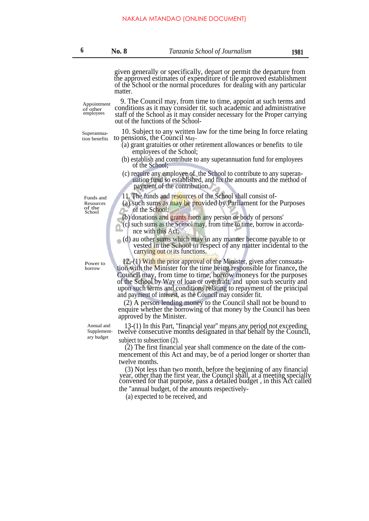out of the functions of the School-

given generally or specifically, depart or permit the departure from the approved estimates of expenditure of tile approved establishment of the School or the normal procedures for dealing with any particular matter.

9. The Council may, from time to time, appoint at such terms and conditions as it may consider tit. such academic and administrative staff of the School as it may consider necessary for the Proper carrying

Appointment of other employees

 $Superannua-$  10. Subject to any written law for the time being In force relating tion benefits to pensions, the Council Mayto pensions, the Council May-

- (a) grant gratuities or other retirement allowances or benefits to tile employees of the School;
- (b) establish and contribute to any superannuation fund for employees of the School;
- (c) require any employee of the School to contribute to any superan uation fund so established, and fix the amounts and the method of payment of the contribution.

Funds and 11. The funds and resources of the School shall consist of-

- Resources (a) such sums as may be provided by Parliament for the Purposes of the School; of the School:
	- (b) donations and grants from any person or body of persons'
	- (c) such sums as the School may, from time to time, borrow in accordance with this Act;
	- (d) au other sums which may in any manner become payable to or vested in the School in respect of any matter incidental to the carrying out of its functions.

12.-(1) With the prior approval of the Minister, given after consuatation with the Minister for the time being responsible for finance**,** the Council may, from time to time, borrow moneys for the purposes of the School by Way of loan or overdraft, and upon such security and upon such terms and conditions relating to repayment of the principal and payment of interest, as the Council may consider fit.

(2) A person lending money to the Council shall not be bound to enquire whether the borrowing of that money by the Council has been approved by the Minister.

13-(1) In this Part, ''financial year'' means any period not exceeding twelve consecutive months designated in that behalf by the Council, subject to subsection (2).

(2) The first financial year shall commence on the date of the commencement of this Act and may, be of a period longer or shorter than twelve months.

(3) Not less than two month, before the beginning of any financial year, other than the first year, the Council shall, at a meeting specially convened for that purpose, pass a detailed budget , in this Act called the "annual budget, of the amounts respectively-

(a) expected to be received, and

Power to borrow

> Annual and Supplementary budget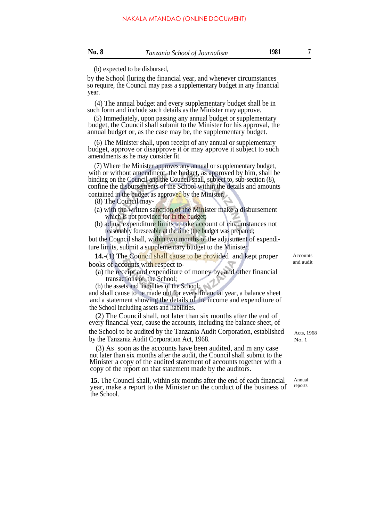(b) expected to be disbursed,

by the School (luring the financial year, and whenever circumstances so require, the Council may pass a supplementary budget in any financial year.

(4) The annual budget and every supplementary budget shall be in such form and include such details as the Minister may approve.

(5) Immediately, upon passing any annual budget or supplementary budget, the Council shall submit to the Minister for his approval, the annual budget or, as the case may be, the supplementary budget.

(6) The Minister shall, upon receipt of any annual or supplementary budget, approve or disapprove it or may approve it subject to such amendments as he may consider fit.

(7) Where the Minister approves any annual or supplementary budget, with or without amendment, the budget, as approved by him, shall be binding on the Council and the Council shall, subject to, sub-section (8), confine the disbursements of the School within the details and amounts contained in the budget as approved by the Minister.

(8) The Council may-

- (a) with the written sanction of the Minister make a disbursement which is not provided for in the budget;
- (b) adjust expenditure limits to take account of circumstances not reasonably foreseeable at the time (the budget was prepared;

but the Council shall, within two months of the adjustment of expenditure limits, submit a supplementary budget to the Minister.

**14.**-(1) The Council shall cause to be provided and kept proper books of accounts with respect to-

- (a) the receipt and expenditure of money by, and other financial transactions of, the School;
- (b) the assets and liabilities of the School;

and shall cause to be made out for every financial year, a balance sheet and a statement showing the details of the income and expenditure of the School including assets and liabilities.

(2) The Council shall, not later than six months after the end of every financial year, cause the accounts, including the balance sheet, of the School to be audited by the Tanzania Audit Corporation, established  $A_{\text{cts, 1968}}$ by the Tanzania Audit Corporation Act, 1968.

(3) As soon as the accounts have been audited, and m any case not later than six months after the audit, the Council shall submit to the Minister a copy of the audited statement of accounts together with a copy of the report on that statement made by the auditors.

**15.** The Council shall, within six months after the end of each financial year, make a report to the Minister on the conduct of the business of the School.

Accounts and audit

Annual reports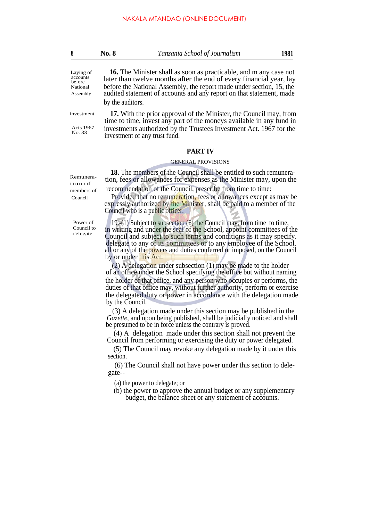|  | <b>No. 8</b> | Tanzania School of Journalism | 1981 |
|--|--------------|-------------------------------|------|
|--|--------------|-------------------------------|------|

**16.** The Minister shall as soon as practicable, and m any case not later than twelve months after the end of every financial year, lay before the National Assembly, the report made under section, 15, the audited statement of accounts and any report on that statement, made by the auditors.

investment

Acts 1967 No. 33

Remuneration of members of

**17.** With the prior approval of the Minister, the Council may, from time to time, invest any part of the moneys available in any fund in investments authorized by the Trustees Investment Act. 1967 for the investment of any trust fund.

#### **PART IV**

#### GENERAL PROVISIONS

**18.** The members of the Council shall be entitled to such remuneration, fees or allowances for expenses as the Minister may, upon the

recommendation of the Council, prescribe from time to time:

Council Provided that no remuneration, fees or allowances except as may be expressly authorized by the Minister, shall be paid to a member of the Council who is a public officer.

Power of Council to delegate

19.-(1) Subject to subsection (6) the Council may, from time to time, in writing and under the seal of the School, appoint committees of the Council and subject to such terms and conditions as it may specify. delegate to any of its committees or to any employee of the School. all or any of the powers and duties conferred or imposed, on the Council by or under this Act.

(2) A delegation under subsection (1) may be made to the holder of an office under the School specifying the office but without naming the holder of that office, and any person who occupies or performs, the duties of that office may, without further authority, perform or exercise the delegated duty or power in accordance with the delegation made by the Council.

(3) A delegation made under this section may be published in the *Gazette,* and upon being published, shall be judicially noticed and shall be presumed to be in force unless the contrary is proved.

(4) A delegation made under this section shall not prevent the Council from performing or exercising the duty or power delegated.

(5) The Council may revoke any delegation made by it under this section.

(6) The Council shall not have power under this section to delegate--

(a) the power to delegate; or

(b) the power to approve the annual budget or any supplementary budget, the balance sheet or any statement of accounts.

Laying of accounts before

National Assembly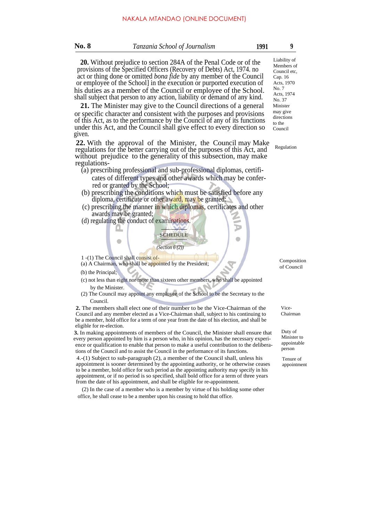| <b>No. 8</b> | Tanzania School of Journalism                                                                                                                                                                                                                                                                                                                                                                                                                                                                                                                                                                                                                                                                                                                                  | 1991 | 9                                                                                                                                                              |
|--------------|----------------------------------------------------------------------------------------------------------------------------------------------------------------------------------------------------------------------------------------------------------------------------------------------------------------------------------------------------------------------------------------------------------------------------------------------------------------------------------------------------------------------------------------------------------------------------------------------------------------------------------------------------------------------------------------------------------------------------------------------------------------|------|----------------------------------------------------------------------------------------------------------------------------------------------------------------|
| given.       | <b>20.</b> Without prejudice to section 284A of the Penal Code or of the<br>provisions of the Specified Officers (Recovery of Debts) Act, 1974. no<br>act or thing done or omitted <i>bona fide</i> by any member of the Council<br>or employee of the School in the execution or purported execution of<br>his duties as a member of the Council or employee of the School.<br>shall subject that person to any action, liability or demand of any kind.<br>21. The Minister may give to the Council directions of a general<br>or specific character and consistent with the purposes and provisions<br>of this Act, as to the performance by the Council of any of its functions<br>under this Act, and the Council shall give effect to every direction so |      | Liability of<br>Members of<br>Council etc<br>Cap. 16<br>Acts, 1970<br>No. 7<br>Acts, 1974<br>No. 37<br>Minister<br>may give<br>directions<br>to the<br>Council |
| regulations- | 22. With the approval of the Minister, the Council may Make<br>regulations for the better carrying out of the purposes of this Act, and<br>without prejudice to the generality of this subsection, may make                                                                                                                                                                                                                                                                                                                                                                                                                                                                                                                                                    |      | Regulation                                                                                                                                                     |
|              | (a) prescribing professional and sub-professional diplomas, certifi-<br>cates of different types and other awards which may be confer-<br>red or granted by the School;<br>(b) prescribing the conditions which must be satisfied before any<br>diploma, certificate or other award, may be granted:                                                                                                                                                                                                                                                                                                                                                                                                                                                           |      |                                                                                                                                                                |

- (c) prescribing the manner in which diplomas, certificates and other awards may be granted;
- (d) regulating the conduct of examinations.



1 -(1) The Council shall consist of-

 $\bullet$ 

- $(1 (1)$  The Council shall be appointed by the President; Composition Composition
- (b) the Principal;
- (c) not less than eight nor more than sixteen other members, who shall be appointed by the Minister.
- (2) The Council may appoint any employee of the School to be the Secretary to the Council.

**2.** The members shall elect one of their number to be the Vice-Chairman of the Council and any member elected as a Vice-Chairman shall, subject to his continuing to be a member, hold office for a term of one year from the date of his election, and shall be eligible for re-election.

**3.** In making appointments of members of the Council, the Minister shall ensure that every person appointed by him is a person who, in his opinion, has the necessary experience or qualification to enable that person to make a useful contribution to the deliberations of the Council and to assist the Council in the performance of its functions.

4.-(1) Subject to sub-paragraph (2), a member of the Council shall, unless his appointment is sooner determined by the appointing authority, or he otherwise ceases to be a member, hold office for such period as the appointing authority may specify in his appointment, or if no period is so specified, shall bold office for a term of three years from the date of his appointment, and shall be eligible for re-appointment.

(2) In the case of a member who is a member by virtue of his holding some other office, he shall cease to be a member upon his ceasing to hold that office.

of Council

Þ  $\blacksquare$ 

> Vice-Chairman

Duty of Minister to appointable person

Tenure of appointment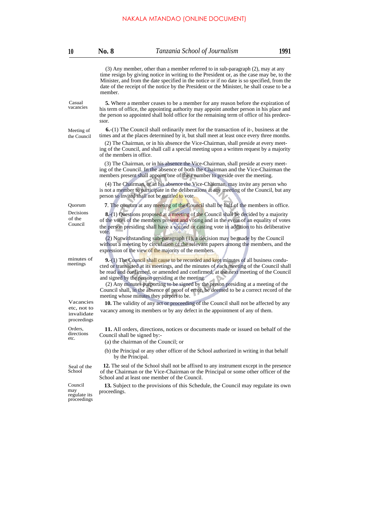# NAKALA MTANDAO (ONLINE DOCUMENT)

| 10                                                    | <b>No. 8</b>                 | Tanzania School of Journalism                                                                                                                                                                                                                                                                                                                                                 | 1991 |
|-------------------------------------------------------|------------------------------|-------------------------------------------------------------------------------------------------------------------------------------------------------------------------------------------------------------------------------------------------------------------------------------------------------------------------------------------------------------------------------|------|
|                                                       | member.                      | $(3)$ Any member, other than a member referred to in sub-paragraph $(2)$ , may at any<br>time resign by giving notice in writing to the President or, as the case may be, to the<br>Minister, and from the date specified in the notice or if no date is so specified, from the<br>date of the receipt of the notice by the President or the Minister, he shall cease to be a |      |
| Casual<br>vacancies                                   | ssor.                        | <b>5.</b> Where a member ceases to be a member for any reason before the expiration of<br>his term of office, the appointing authority may appoint another person in his place and<br>the person so appointed shall hold office for the remaining term of office of his predece-                                                                                              |      |
| Meeting of<br>the Council                             |                              | <b>6.</b> -(1) The Council shall ordinarily meet for the transaction of it-, business at the<br>times and at the places determined by it, but shall meet at least once every three months.                                                                                                                                                                                    |      |
|                                                       | of the members in office.    | (2) The Chairman, or in his absence the Vice-Chairman, shall preside at every meet-<br>ing of the Council, and shall call a special meeting upon a written request by a majority                                                                                                                                                                                              |      |
|                                                       |                              | (3) The Chairman, or in his absence the Vice-Chairman, shall preside at every meet-<br>ing of the Council. In the absence of both the Chairman and the Vice-Chairman the<br>members present shall appoint one of their number to preside over the meeting.                                                                                                                    |      |
|                                                       |                              | (4) The Chairman, or in his absence the Vice-Chairman, may invite any person who<br>is not a member to participate in the deliberations at any meeting of the Council, but any<br>person so invited shall not be entitled to vote.                                                                                                                                            |      |
| Quorum                                                |                              | 7. The quorum at any meeting of the Council shall be half of the members in office.                                                                                                                                                                                                                                                                                           |      |
| Decisions<br>of the<br>Council                        | vote.                        | <b>8.</b> -(1) Questions proposed at a meeting of the Council shall be decided by a majority<br>of the votes of the members present and voting and in the event of an equality of votes<br>the person presiding shall have a second or casting vote in addition to his deliberative                                                                                           |      |
|                                                       |                              | $(2)$ Notwithstanding sub-paragraph $(1)$ , a decision may be made by the Council<br>without a meeting by circulation of the relevant papers among the members, and the<br>expression of the view of the majority of the members.                                                                                                                                             |      |
| minutes of<br>meetings                                |                              | <b>9.</b> -(1) The Council shall cause to be recorded and kept minutes of all business condu-<br>cted or transacted at its meetings, and the minutes of each meeting of the Council shall<br>be read and confirmed, or amended and confirmed, at the next meeting of the Council<br>and signed by the person presiding at the meeting.                                        |      |
|                                                       |                              | (2) Any minutes purporting to be signed by the person presiding at a meeting of the<br>Council shall, in the absence of proof of error, be deemed to be a correct record of the<br>meeting whose minutes they purport to be.                                                                                                                                                  |      |
| Vacancies<br>etc, not to<br>invalidate<br>proceedings |                              | <b>10.</b> The validity of any act or proceeding of the Council shall not be affected by any<br>vacancy among its members or by any defect in the appointment of any of them.                                                                                                                                                                                                 |      |
| Orders,<br>directions<br>etc.                         | Council shall be signed by:- | 11. All orders, directions, notices or documents made or issued on behalf of the<br>(a) the chairman of the Council; or                                                                                                                                                                                                                                                       |      |
|                                                       | by the Principal.            | (b) the Principal or any other officer of the School authorized in writing in that behalf                                                                                                                                                                                                                                                                                     |      |
| Seal of the<br>School                                 |                              | 12. The seal of the School shall not be affixed to any instrument except in the presence<br>of the Chairman or the Vice-Chairman or the Principal or some other officer of the<br>School and at least one member of the Council.                                                                                                                                              |      |
| Council<br>may<br>regulate its<br>proceedings         | proceedings.                 | 13. Subject to the provisions of this Schedule, the Council may regulate its own                                                                                                                                                                                                                                                                                              |      |
|                                                       |                              |                                                                                                                                                                                                                                                                                                                                                                               |      |